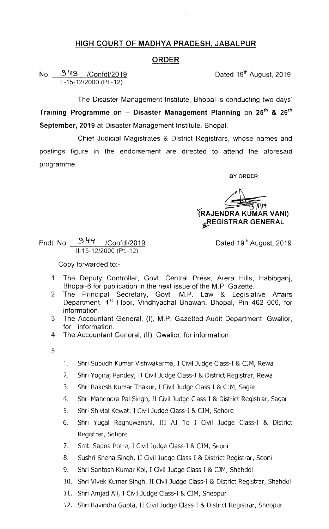## HIGH COURT OF MADHYA PRADESH, JABALPUR

## ORDER

No. 3q3 /Confdl/2019 Dated 19th August, 2019 ll-15-12/2000 (Pt.~12)

The Disaster Management Institute, Bhopal is conducting two days' Training Programme on - Disaster Management Planning on 25<sup>th</sup> & 26<sup>th</sup> September, 2019 at Disaster Management Institute, Bhopal.

Chief Judicial Magistrates & District Registrars, whose names and postings figure in the endorsement are directed to attend the aforesaid programme.

BY ORDER

(RAJENDRA KUMAR VANl) *GEGISTRAR GENERAL* 

Dated 19<sup>th</sup> August, 2019

Endt. No. \_\_\_\_\_\_\_\_\_\_\_\_\_\_/Confdl/201 II-15-12/2000 (Pt.-12)

Copy forwarded to.-

- 1 The Deputy Controller, Govt Central Press, Arera Hills, Habibganj, Bhopal-6 for publication in the next issue of the M.P. Gazette.
- 2 The Principal Secretary, Govt. M.P. Law & Legislative Affairs Department, 1<sup>st</sup> Floor, Vindhyachal Bhawan, Bhopal, Pin 462 006, for information.
- 3 The Accountant General, (I), M.P. Gazetted Audit Department, Gwalior, for information.
- 4 The Accountant General, (II), Gwalior, for information.
- 5
- 1. Shri Subodh Kumar Vishwakarma, I Civil Judge Class-I & CJM, Rewa
- 2. Shri Yogiraj pandey, II civil Judge class-I & District Registrar, Rewa
- 3. Shri Rakesh Kumar Thakur, I Civil Judge Class-I & CJM, Sagar
- 4. Shri Mahendra pal singh, II civil Judge class-I & District Registrar, Sagar
- 5. Shri Shivlal Kewat, I Civil Judge Class-I & CJM, Sehore
- 6. Shri Yugal Raghuwanshi, Ill AJ To I Civil Judge Class-I & District Registrar, Sehore
- 7. Smt. Sapna Potre, I Civil Judge Class-I & CJM, Seoni
- 8. Sushri Sneha Singh, II Civil Judge Class-I & District Registrar, Seoni
- 9. Shri Santosh Kumar Kol, I Civil Judge Class-I & CJM, Shahdol
- 10. Shri Vivek Kumar Singh, 11 Civil Judge class-I & District Reglstrar, Shahdol
- 11. Shri Amjad Ali, I Civil Judge Class-I & CJM, Sheopur
- 12. Shri Ravindra Gupta, II Civil Judge Class-I & District Registrar, Sheopur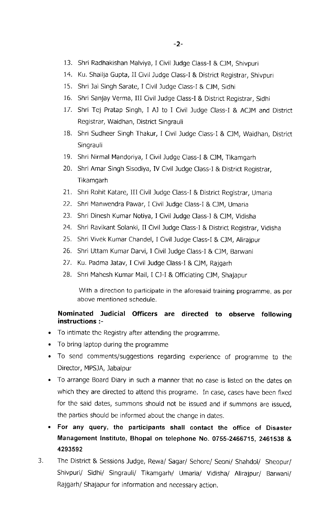- 13. Shri Radhaklshan Malviya, I Civil Judge Class-I & CJM, Shlvpuri
- 14. Ku. Shailja Gupta, II Civil Judge Class-I & District Registrar, Shivpuri
- 15. Shri Jai Singh Sarate, I Civil Judge Class-I & CJM, Sidhi
- 16. Shri Sanjay Verma, III Civil Judge Class-I & District Registrar, Sidhi
- 17. Shri Tej Pratap Singh, I AJ to I Civil Judge Class-I & ACJM and District Registrar, Waidhan, District Singrauli
- 18. Shri Sudheer Singh Thakur, I Civil Judge class-I & CJM, Waidhan, District Singrauli
- 19. Shri Nirmal Mandoriya, I Civil Judge Class-I & CJM, Tikamgarh
- 20. Shri Amar Singh Sisodiya, IV Civil Judge Class-I & District Registrar, Tikamgarh
- 21. Shri Rohit Katare, III Civil Judge Class-I & District Registrar, Umaria
- 22. Shri Manwendra Pawar, I Civil Judge Class-I & CJM, Umarla
- 23. Shri Dinesh Kumar Notiya, I Civil Judge Class-I & CJM, Vidisha
- 24. Shri Ravikant Solanki, II Civil Judge Class-I & District Registrar, Vidisha
- 25. Shri Vivek Kumar Chandel, I Civil Judge Class-I & CJM, Alirajpur
- 26. Shri Uttam Kumar Darvi, I Civil Judge Class-I & CJM, Barwani
- 27. Ku, Padma Jatav, I Civil Judge Class-I & CJM, Rajgarh
- 28. Shri Mahesh Kumar Mail, I CJ-I & Officiating CJM, Shajapur

With a direction to participate in the aforesaid training programme, as per above mentioned schedule.

## Nominated Judicial Officers are directed to observe following instructions :-

- To intimate the Registry after attending the programme.
- To bring laptop during the programme
- To send comments/suggestions regarding experience of programme to the Director, MPSJA, Jabalpur
- To arrange Board Diary in such a manner that no case is listed on the dates on which they are directed to attend this programe. In case, cases have been fixed for the said dates, summons should not be issued and if summons are issued, the parties should be informed about the change in dates.
- For any query, the participants shall contact the office of Disaster Management Institute, Bhopal on telephone No. 0755-2466715, 2461538 & 4293592
- 3. The District & Sessions Judge, Rewa/ Sagar/ Sehore/ Seoni/ Shahdol/ Sheopur/ Shivpuri/ Sidhi/ Singrauli/ Tikamgarh/ Umaria/ Vidisha/ Alirajpur/ Barwani/ Rajgarh/ Shajapur for information and necessary action.